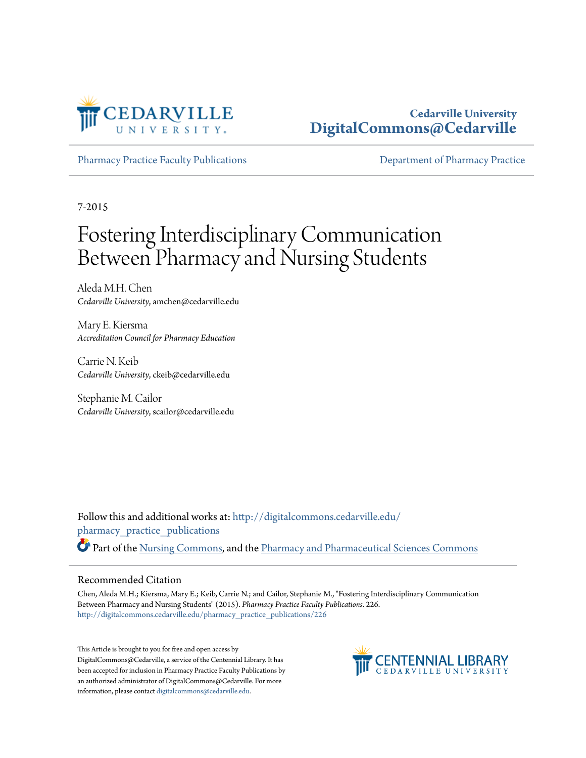

## **Cedarville University [DigitalCommons@Cedarville](http://digitalcommons.cedarville.edu?utm_source=digitalcommons.cedarville.edu%2Fpharmacy_practice_publications%2F226&utm_medium=PDF&utm_campaign=PDFCoverPages)**

[Pharmacy Practice Faculty Publications](http://digitalcommons.cedarville.edu/pharmacy_practice_publications?utm_source=digitalcommons.cedarville.edu%2Fpharmacy_practice_publications%2F226&utm_medium=PDF&utm_campaign=PDFCoverPages) [Department of Pharmacy Practice](http://digitalcommons.cedarville.edu/pharmacy_practice?utm_source=digitalcommons.cedarville.edu%2Fpharmacy_practice_publications%2F226&utm_medium=PDF&utm_campaign=PDFCoverPages)

7-2015

# Fostering Interdisciplinary Communication Between Pharmacy and Nursing Students

Aleda M.H. Chen *Cedarville University*, amchen@cedarville.edu

Mary E. Kiersma *Accreditation Council for Pharmacy Education*

Carrie N. Keib *Cedarville University*, ckeib@cedarville.edu

Stephanie M. Cailor *Cedarville University*, scailor@cedarville.edu

Follow this and additional works at: [http://digitalcommons.cedarville.edu/](http://digitalcommons.cedarville.edu/pharmacy_practice_publications?utm_source=digitalcommons.cedarville.edu%2Fpharmacy_practice_publications%2F226&utm_medium=PDF&utm_campaign=PDFCoverPages) [pharmacy\\_practice\\_publications](http://digitalcommons.cedarville.edu/pharmacy_practice_publications?utm_source=digitalcommons.cedarville.edu%2Fpharmacy_practice_publications%2F226&utm_medium=PDF&utm_campaign=PDFCoverPages) Part of the [Nursing Commons](http://network.bepress.com/hgg/discipline/718?utm_source=digitalcommons.cedarville.edu%2Fpharmacy_practice_publications%2F226&utm_medium=PDF&utm_campaign=PDFCoverPages), and the [Pharmacy and Pharmaceutical Sciences Commons](http://network.bepress.com/hgg/discipline/731?utm_source=digitalcommons.cedarville.edu%2Fpharmacy_practice_publications%2F226&utm_medium=PDF&utm_campaign=PDFCoverPages)

#### Recommended Citation

Chen, Aleda M.H.; Kiersma, Mary E.; Keib, Carrie N.; and Cailor, Stephanie M., "Fostering Interdisciplinary Communication Between Pharmacy and Nursing Students" (2015). *Pharmacy Practice Faculty Publications*. 226. [http://digitalcommons.cedarville.edu/pharmacy\\_practice\\_publications/226](http://digitalcommons.cedarville.edu/pharmacy_practice_publications/226?utm_source=digitalcommons.cedarville.edu%2Fpharmacy_practice_publications%2F226&utm_medium=PDF&utm_campaign=PDFCoverPages)

This Article is brought to you for free and open access by DigitalCommons@Cedarville, a service of the Centennial Library. It has been accepted for inclusion in Pharmacy Practice Faculty Publications by an authorized administrator of DigitalCommons@Cedarville. For more information, please contact [digitalcommons@cedarville.edu.](mailto:digitalcommons@cedarville.edu)

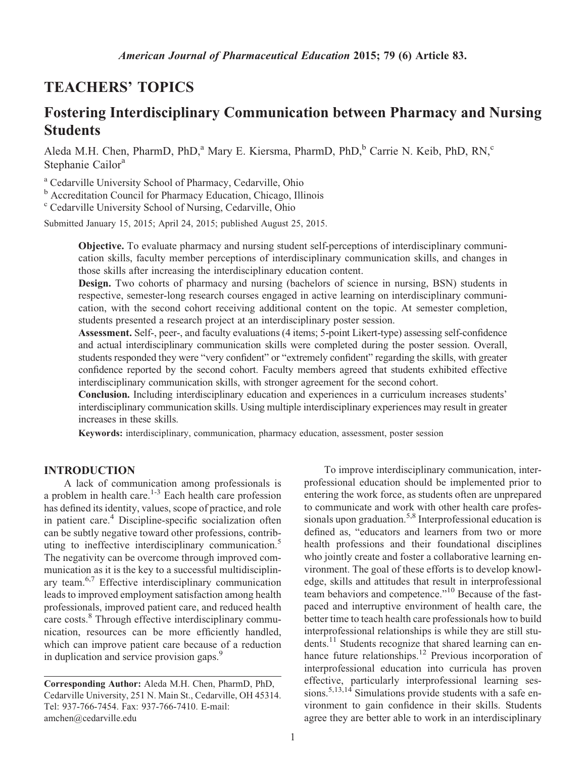# TEACHERS' TOPICS

# Fostering Interdisciplinary Communication between Pharmacy and Nursing Students

Aleda M.H. Chen, PharmD, PhD,<sup>a</sup> Mary E. Kiersma, PharmD, PhD,<sup>b</sup> Carrie N. Keib, PhD, RN,<sup>c</sup> Stephanie Cailor<sup>a</sup>

<sup>a</sup> Cedarville University School of Pharmacy, Cedarville, Ohio

**b** Accreditation Council for Pharmacy Education, Chicago, Illinois

<sup>c</sup> Cedarville University School of Nursing, Cedarville, Ohio

Submitted January 15, 2015; April 24, 2015; published August 25, 2015.

Objective. To evaluate pharmacy and nursing student self-perceptions of interdisciplinary communication skills, faculty member perceptions of interdisciplinary communication skills, and changes in those skills after increasing the interdisciplinary education content.

Design. Two cohorts of pharmacy and nursing (bachelors of science in nursing, BSN) students in respective, semester-long research courses engaged in active learning on interdisciplinary communication, with the second cohort receiving additional content on the topic. At semester completion, students presented a research project at an interdisciplinary poster session.

Assessment. Self-, peer-, and faculty evaluations (4 items; 5-point Likert-type) assessing self-confidence and actual interdisciplinary communication skills were completed during the poster session. Overall, students responded they were "very confident" or "extremely confident" regarding the skills, with greater confidence reported by the second cohort. Faculty members agreed that students exhibited effective interdisciplinary communication skills, with stronger agreement for the second cohort.

Conclusion. Including interdisciplinary education and experiences in a curriculum increases students' interdisciplinary communication skills. Using multiple interdisciplinary experiences may result in greater increases in these skills.

Keywords: interdisciplinary, communication, pharmacy education, assessment, poster session

## INTRODUCTION

A lack of communication among professionals is a problem in health care.<sup>1-3</sup> Each health care profession has defined its identity, values, scope of practice, and role in patient care.<sup>4</sup> Discipline-specific socialization often can be subtly negative toward other professions, contributing to ineffective interdisciplinary communication.<sup>5</sup> The negativity can be overcome through improved communication as it is the key to a successful multidisciplinary team.6,7 Effective interdisciplinary communication leads to improved employment satisfaction among health professionals, improved patient care, and reduced health care costs.<sup>8</sup> Through effective interdisciplinary communication, resources can be more efficiently handled, which can improve patient care because of a reduction in duplication and service provision gaps.<sup>9</sup>

To improve interdisciplinary communication, interprofessional education should be implemented prior to entering the work force, as students often are unprepared to communicate and work with other health care professionals upon graduation.<sup>5,8</sup> Interprofessional education is defined as, "educators and learners from two or more health professions and their foundational disciplines who jointly create and foster a collaborative learning environment. The goal of these efforts is to develop knowledge, skills and attitudes that result in interprofessional team behaviors and competence."10 Because of the fastpaced and interruptive environment of health care, the better time to teach health care professionals how to build interprofessional relationships is while they are still students.<sup>11</sup> Students recognize that shared learning can enhance future relationships.<sup>12</sup> Previous incorporation of interprofessional education into curricula has proven effective, particularly interprofessional learning sessions.<sup>5,13,14</sup> Simulations provide students with a safe environment to gain confidence in their skills. Students agree they are better able to work in an interdisciplinary

Corresponding Author: Aleda M.H. Chen, PharmD, PhD, Cedarville University, 251 N. Main St., Cedarville, OH 45314. Tel: 937-766-7454. Fax: 937-766-7410. E-mail: amchen@cedarville.edu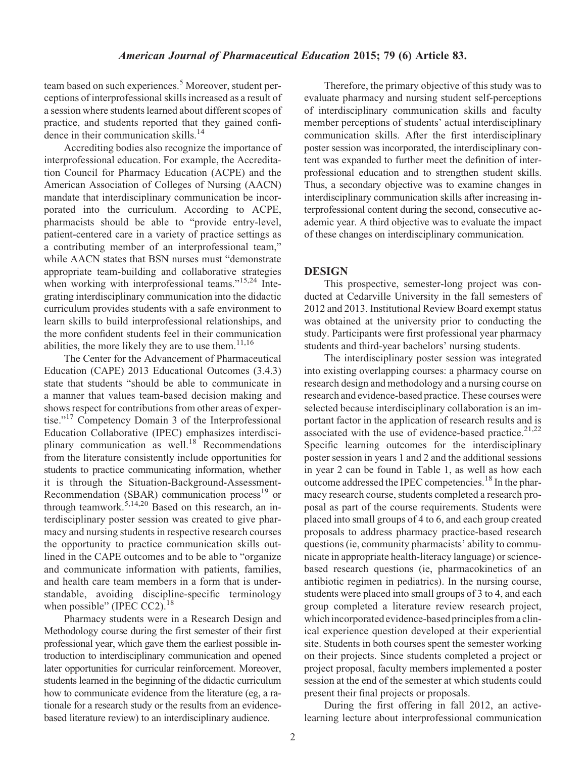team based on such experiences.<sup>5</sup> Moreover, student perceptions of interprofessional skills increased as a result of a session where students learned about different scopes of practice, and students reported that they gained confidence in their communication skills.<sup>14</sup>

Accrediting bodies also recognize the importance of interprofessional education. For example, the Accreditation Council for Pharmacy Education (ACPE) and the American Association of Colleges of Nursing (AACN) mandate that interdisciplinary communication be incorporated into the curriculum. According to ACPE, pharmacists should be able to "provide entry-level, patient-centered care in a variety of practice settings as a contributing member of an interprofessional team," while AACN states that BSN nurses must "demonstrate appropriate team-building and collaborative strategies when working with interprofessional teams."<sup>15,24</sup> Integrating interdisciplinary communication into the didactic curriculum provides students with a safe environment to learn skills to build interprofessional relationships, and the more confident students feel in their communication abilities, the more likely they are to use them. $11,16$ 

The Center for the Advancement of Pharmaceutical Education (CAPE) 2013 Educational Outcomes (3.4.3) state that students "should be able to communicate in a manner that values team-based decision making and shows respect for contributions from other areas of expertise."17 Competency Domain 3 of the Interprofessional Education Collaborative (IPEC) emphasizes interdisciplinary communication as well.<sup>18</sup> Recommendations from the literature consistently include opportunities for students to practice communicating information, whether it is through the Situation-Background-Assessment-Recommendation (SBAR) communication process<sup>19</sup> or through teamwork.<sup>5,14,20</sup> Based on this research, an interdisciplinary poster session was created to give pharmacy and nursing students in respective research courses the opportunity to practice communication skills outlined in the CAPE outcomes and to be able to "organize and communicate information with patients, families, and health care team members in a form that is understandable, avoiding discipline-specific terminology when possible" (IPEC CC2).<sup>18</sup>

Pharmacy students were in a Research Design and Methodology course during the first semester of their first professional year, which gave them the earliest possible introduction to interdisciplinary communication and opened later opportunities for curricular reinforcement. Moreover, students learned in the beginning of the didactic curriculum how to communicate evidence from the literature (eg, a rationale for a research study or the results from an evidencebased literature review) to an interdisciplinary audience.

Therefore, the primary objective of this study was to evaluate pharmacy and nursing student self-perceptions of interdisciplinary communication skills and faculty member perceptions of students' actual interdisciplinary communication skills. After the first interdisciplinary poster session was incorporated, the interdisciplinary content was expanded to further meet the definition of interprofessional education and to strengthen student skills. Thus, a secondary objective was to examine changes in interdisciplinary communication skills after increasing interprofessional content during the second, consecutive academic year. A third objective was to evaluate the impact of these changes on interdisciplinary communication.

## **DESIGN**

This prospective, semester-long project was conducted at Cedarville University in the fall semesters of 2012 and 2013. Institutional Review Board exempt status was obtained at the university prior to conducting the study. Participants were first professional year pharmacy students and third-year bachelors' nursing students.

The interdisciplinary poster session was integrated into existing overlapping courses: a pharmacy course on research design and methodology and a nursing course on research and evidence-based practice. These courses were selected because interdisciplinary collaboration is an important factor in the application of research results and is associated with the use of evidence-based practice.<sup>21,22</sup> Specific learning outcomes for the interdisciplinary poster session in years 1 and 2 and the additional sessions in year 2 can be found in Table 1, as well as how each outcome addressed the IPEC competencies.<sup>18</sup> In the pharmacy research course, students completed a research proposal as part of the course requirements. Students were placed into small groups of 4 to 6, and each group created proposals to address pharmacy practice-based research questions (ie, community pharmacists' ability to communicate in appropriate health-literacy language) or sciencebased research questions (ie, pharmacokinetics of an antibiotic regimen in pediatrics). In the nursing course, students were placed into small groups of 3 to 4, and each group completed a literature review research project, which incorporated evidence-based principles from a clinical experience question developed at their experiential site. Students in both courses spent the semester working on their projects. Since students completed a project or project proposal, faculty members implemented a poster session at the end of the semester at which students could present their final projects or proposals.

During the first offering in fall 2012, an activelearning lecture about interprofessional communication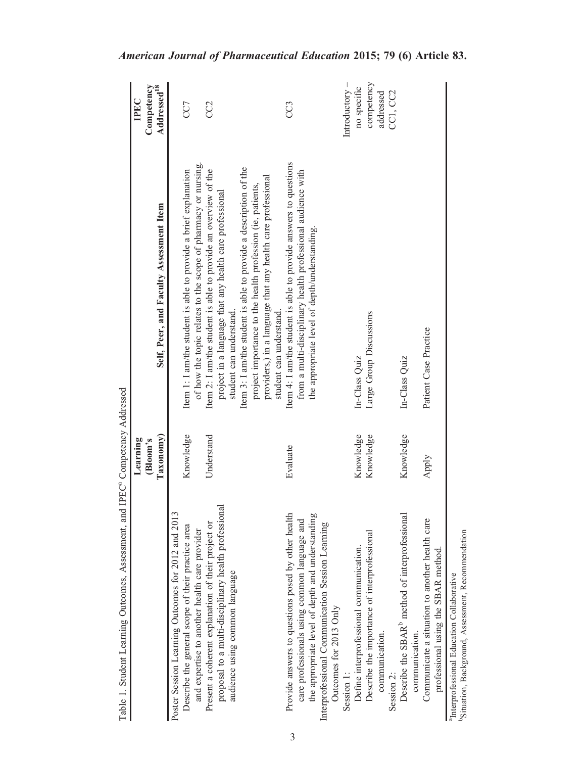| Table 1. Student Learning Outcomes, Assessment, and                                                                                                                                                        | IPEC <sup>ª</sup> Competency Addressed |                                                                                                                                                                                                                          |                                       |
|------------------------------------------------------------------------------------------------------------------------------------------------------------------------------------------------------------|----------------------------------------|--------------------------------------------------------------------------------------------------------------------------------------------------------------------------------------------------------------------------|---------------------------------------|
|                                                                                                                                                                                                            | Learning                               |                                                                                                                                                                                                                          | <b>IPEC</b>                           |
|                                                                                                                                                                                                            | Taxonomy)<br>(Bloom's                  | Self, Peer, and Faculty Assessment Item                                                                                                                                                                                  | Addressed <sup>18</sup><br>Competency |
| Poster Session Learning Outcomes for 2012 and 2013<br>Describe the general scope of their practice area<br>and expertise to another health care provider                                                   | Knowledge                              | of how the topic relates to the scope of pharmacy or nursing.<br>Item 1: I am/the student is able to provide a brief explanation                                                                                         | CC7                                   |
| proposal to a multi-disciplinary health professional<br>Present a coherent explanation of their project or<br>audience using common language                                                               | Understand                             | Item 2: I am/the student is able to provide an overview of the<br>project in a language that any health care professional<br>student can understand.                                                                     | CC <sub>2</sub>                       |
|                                                                                                                                                                                                            |                                        | Item 3: I am/the student is able to provide a description of the<br>providers,) in a language that any health care professional<br>project importance to the health profession (ie, patients,<br>student can understand. |                                       |
| Provide answers to questions posed by other health<br>the appropriate level of depth and understanding<br>care professionals using common language and<br>Interprofessional Communication Session Learning | Evaluate                               | Item 4: I am/the student is able to provide answers to questions<br>from a multi-disciplinary health professional audience with<br>the appropriate level of depth/understanding.                                         | CC3                                   |
| Outcomes for 2013 Only<br>Session 1:                                                                                                                                                                       |                                        |                                                                                                                                                                                                                          | $Introducing -$                       |
| Define interprofessional communication.                                                                                                                                                                    | Knowledge                              | In-Class Quiz                                                                                                                                                                                                            | no specific                           |
| Describe the importance of interprofessional<br>communication.                                                                                                                                             | Knowledge                              | Large Group Discussions                                                                                                                                                                                                  | competency<br>addressed               |
| Describe the SBAR <sup>b</sup> method of interprofessional<br>Session 2:                                                                                                                                   | Knowledge                              | In-Class Quiz                                                                                                                                                                                                            | CCI, CC2                              |
| Communicate a situation to another health care<br>professional using the SBAR method.<br>communication.                                                                                                    | Apply                                  | Patient Case Practice                                                                                                                                                                                                    |                                       |
| <sup>b</sup> Situation, Background, Assessment, Recommendation<br><sup>a</sup> Interprofessional Education Collaborative                                                                                   |                                        |                                                                                                                                                                                                                          |                                       |

American Journal of Pharmaceutical Education 2015; 79 (6) Article 83.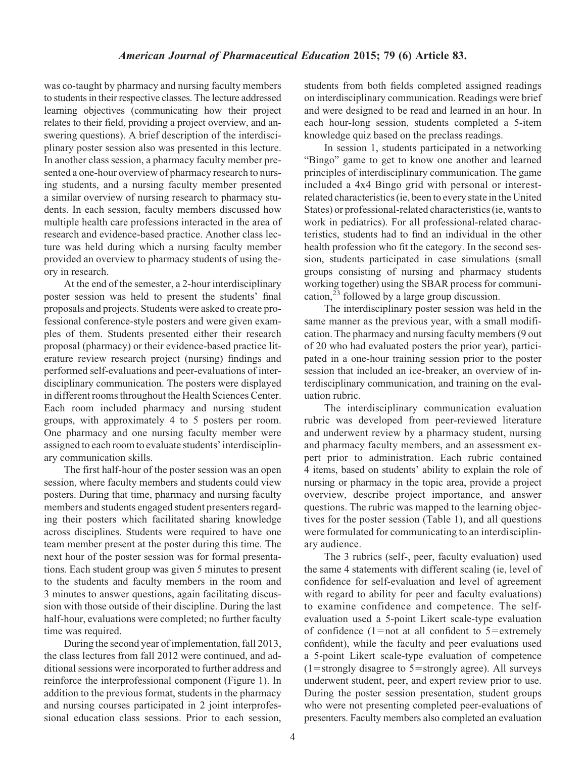was co-taught by pharmacy and nursing faculty members to students in their respective classes. The lecture addressed learning objectives (communicating how their project relates to their field, providing a project overview, and answering questions). A brief description of the interdisciplinary poster session also was presented in this lecture. In another class session, a pharmacy faculty member presented a one-hour overview of pharmacy research to nursing students, and a nursing faculty member presented a similar overview of nursing research to pharmacy students. In each session, faculty members discussed how multiple health care professions interacted in the area of research and evidence-based practice. Another class lecture was held during which a nursing faculty member provided an overview to pharmacy students of using theory in research.

At the end of the semester, a 2-hour interdisciplinary poster session was held to present the students' final proposals and projects. Students were asked to create professional conference-style posters and were given examples of them. Students presented either their research proposal (pharmacy) or their evidence-based practice literature review research project (nursing) findings and performed self-evaluations and peer-evaluations of interdisciplinary communication. The posters were displayed in different rooms throughout the Health Sciences Center. Each room included pharmacy and nursing student groups, with approximately 4 to 5 posters per room. One pharmacy and one nursing faculty member were assigned to each room to evaluate students' interdisciplinary communication skills.

The first half-hour of the poster session was an open session, where faculty members and students could view posters. During that time, pharmacy and nursing faculty members and students engaged student presenters regarding their posters which facilitated sharing knowledge across disciplines. Students were required to have one team member present at the poster during this time. The next hour of the poster session was for formal presentations. Each student group was given 5 minutes to present to the students and faculty members in the room and 3 minutes to answer questions, again facilitating discussion with those outside of their discipline. During the last half-hour, evaluations were completed; no further faculty time was required.

During the second year of implementation, fall 2013, the class lectures from fall 2012 were continued, and additional sessions were incorporated to further address and reinforce the interprofessional component (Figure 1). In addition to the previous format, students in the pharmacy and nursing courses participated in 2 joint interprofessional education class sessions. Prior to each session,

students from both fields completed assigned readings on interdisciplinary communication. Readings were brief and were designed to be read and learned in an hour. In each hour-long session, students completed a 5-item knowledge quiz based on the preclass readings.

In session 1, students participated in a networking "Bingo" game to get to know one another and learned principles of interdisciplinary communication. The game included a 4x4 Bingo grid with personal or interestrelated characteristics (ie, been to every state in the United States) or professional-related characteristics (ie, wants to work in pediatrics). For all professional-related characteristics, students had to find an individual in the other health profession who fit the category. In the second session, students participated in case simulations (small groups consisting of nursing and pharmacy students working together) using the SBAR process for communication, $^{23}$  followed by a large group discussion.

The interdisciplinary poster session was held in the same manner as the previous year, with a small modification. The pharmacy and nursing faculty members (9 out of 20 who had evaluated posters the prior year), participated in a one-hour training session prior to the poster session that included an ice-breaker, an overview of interdisciplinary communication, and training on the evaluation rubric.

The interdisciplinary communication evaluation rubric was developed from peer-reviewed literature and underwent review by a pharmacy student, nursing and pharmacy faculty members, and an assessment expert prior to administration. Each rubric contained 4 items, based on students' ability to explain the role of nursing or pharmacy in the topic area, provide a project overview, describe project importance, and answer questions. The rubric was mapped to the learning objectives for the poster session (Table 1), and all questions were formulated for communicating to an interdisciplinary audience.

The 3 rubrics (self-, peer, faculty evaluation) used the same 4 statements with different scaling (ie, level of confidence for self-evaluation and level of agreement with regard to ability for peer and faculty evaluations) to examine confidence and competence. The selfevaluation used a 5-point Likert scale-type evaluation of confidence  $(1=not$  at all confident to  $5=extremely$ confident), while the faculty and peer evaluations used a 5-point Likert scale-type evaluation of competence  $(1=$ strongly disagree to 5=strongly agree). All surveys underwent student, peer, and expert review prior to use. During the poster session presentation, student groups who were not presenting completed peer-evaluations of presenters. Faculty members also completed an evaluation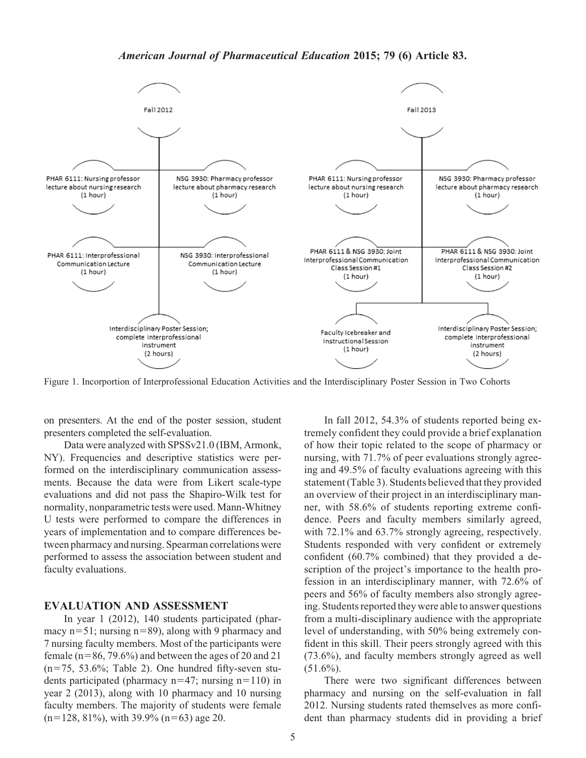

Figure 1. Incorportion of Interprofessional Education Activities and the Interdisciplinary Poster Session in Two Cohorts

on presenters. At the end of the poster session, student presenters completed the self-evaluation.

Data were analyzed with SPSSv21.0 (IBM, Armonk, NY). Frequencies and descriptive statistics were performed on the interdisciplinary communication assessments. Because the data were from Likert scale-type evaluations and did not pass the Shapiro-Wilk test for normality, nonparametric tests were used. Mann-Whitney U tests were performed to compare the differences in years of implementation and to compare differences between pharmacy and nursing. Spearman correlations were performed to assess the association between student and faculty evaluations.

## EVALUATION AND ASSESSMENT

In year 1 (2012), 140 students participated (pharmacy  $n=51$ ; nursing  $n=89$ ), along with 9 pharmacy and 7 nursing faculty members. Most of the participants were female ( $n=86$ , 79.6%) and between the ages of 20 and 21  $(n=75, 53.6\%;$  Table 2). One hundred fifty-seven students participated (pharmacy  $n=47$ ; nursing  $n=110$ ) in year 2 (2013), along with 10 pharmacy and 10 nursing faculty members. The majority of students were female  $(n=128, 81\%)$ , with 39.9%  $(n=63)$  age 20.

In fall 2012, 54.3% of students reported being extremely confident they could provide a brief explanation of how their topic related to the scope of pharmacy or nursing, with 71.7% of peer evaluations strongly agreeing and 49.5% of faculty evaluations agreeing with this statement (Table 3). Students believed that they provided an overview of their project in an interdisciplinary manner, with 58.6% of students reporting extreme confidence. Peers and faculty members similarly agreed, with 72.1% and 63.7% strongly agreeing, respectively. Students responded with very confident or extremely confident (60.7% combined) that they provided a description of the project's importance to the health profession in an interdisciplinary manner, with 72.6% of peers and 56% of faculty members also strongly agreeing. Students reported they were able to answer questions from a multi-disciplinary audience with the appropriate level of understanding, with 50% being extremely confident in this skill. Their peers strongly agreed with this (73.6%), and faculty members strongly agreed as well  $(51.6\%)$ .

There were two significant differences between pharmacy and nursing on the self-evaluation in fall 2012. Nursing students rated themselves as more confident than pharmacy students did in providing a brief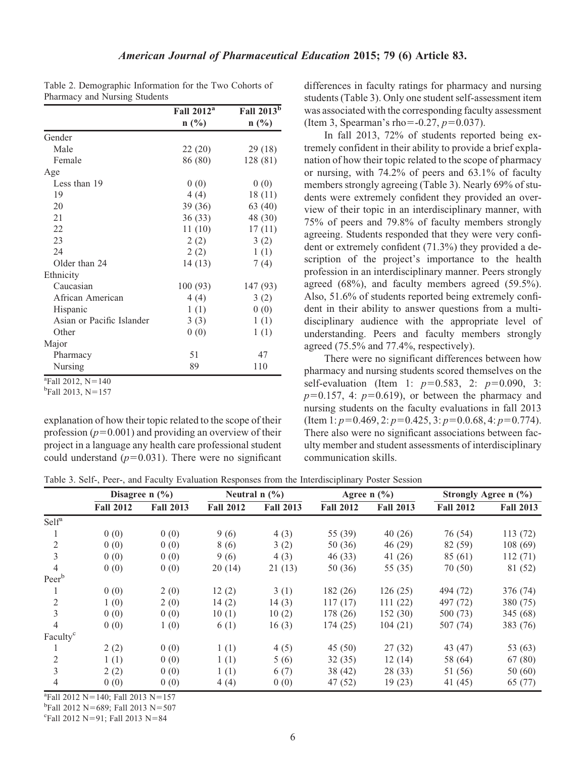|                           | Fall 2012 <sup>a</sup> | Fall 2013 <sup>b</sup> |
|---------------------------|------------------------|------------------------|
|                           | $n(^{0}/_{0})$         | $n$ (%)                |
| Gender                    |                        |                        |
| Male                      | 22(20)                 | 29(18)                 |
| Female                    | 86 (80)                | 128 (81)               |
| Age                       |                        |                        |
| Less than 19              | 0(0)                   | 0(0)                   |
| 19                        | 4(4)                   | 18(11)                 |
| 20                        | 39 (36)                | 63 (40)                |
| 21                        | 36 (33)                | 48 (30)                |
| 22                        | 11(10)                 | 17(11)                 |
| 23                        | 2(2)                   | 3(2)                   |
| 24                        | 2(2)                   | 1(1)                   |
| Older than 24             | 14 (13)                | 7(4)                   |
| Ethnicity                 |                        |                        |
| Caucasian                 | 100(93)                | 147 (93)               |
| African American          | 4(4)                   | 3(2)                   |
| Hispanic                  | 1(1)                   | 0(0)                   |
| Asian or Pacific Islander | 3(3)                   | 1(1)                   |
| Other                     | 0(0)                   | 1(1)                   |
| Major                     |                        |                        |
| Pharmacy                  | 51                     | 47                     |
| Nursing                   | 89                     | 110                    |

Table 2. Demographic Information for the Two Cohorts of Pharmacy and Nursing Students

 $n = 140$ <br>  $n = 112012, N = 140$ <br>  $N = 157$  $^{\rm b}$ Fall 2013, N=157

explanation of how their topic related to the scope of their profession  $(p=0.001)$  and providing an overview of their project in a language any health care professional student could understand  $(p=0.031)$ . There were no significant differences in faculty ratings for pharmacy and nursing students (Table 3). Only one student self-assessment item was associated with the corresponding faculty assessment (Item 3, Spearman's rho= $-0.27$ ,  $p=0.037$ ).

In fall 2013, 72% of students reported being extremely confident in their ability to provide a brief explanation of how their topic related to the scope of pharmacy or nursing, with 74.2% of peers and 63.1% of faculty members strongly agreeing (Table 3). Nearly 69% of students were extremely confident they provided an overview of their topic in an interdisciplinary manner, with 75% of peers and 79.8% of faculty members strongly agreeing. Students responded that they were very confident or extremely confident (71.3%) they provided a description of the project's importance to the health profession in an interdisciplinary manner. Peers strongly agreed (68%), and faculty members agreed (59.5%). Also, 51.6% of students reported being extremely confident in their ability to answer questions from a multidisciplinary audience with the appropriate level of understanding. Peers and faculty members strongly agreed (75.5% and 77.4%, respectively).

There were no significant differences between how pharmacy and nursing students scored themselves on the self-evaluation (Item 1:  $p=0.583$ , 2:  $p=0.090$ , 3:  $p=0.157$ , 4:  $p=0.619$ ), or between the pharmacy and nursing students on the faculty evaluations in fall 2013 (Item 1:  $p=0.469$ , 2:  $p=0.425$ , 3:  $p=0.0.68$ , 4:  $p=0.774$ ). There also were no significant associations between faculty member and student assessments of interdisciplinary communication skills.

Table 3. Self-, Peer-, and Faculty Evaluation Responses from the Interdisciplinary Poster Session

|                      |                  | Disagree $n$ $(\% )$ |                  | Neutral $n$ $\left(\frac{9}{6}\right)$ |                  | Agree n $(\% )$  |                  | Strongly Agree $n$ (%) |
|----------------------|------------------|----------------------|------------------|----------------------------------------|------------------|------------------|------------------|------------------------|
|                      | <b>Fall 2012</b> | <b>Fall 2013</b>     | <b>Fall 2012</b> | <b>Fall 2013</b>                       | <b>Fall 2012</b> | <b>Fall 2013</b> | <b>Fall 2012</b> | <b>Fall 2013</b>       |
| Self <sup>a</sup>    |                  |                      |                  |                                        |                  |                  |                  |                        |
|                      | 0(0)             | 0(0)                 | 9(6)             | 4(3)                                   | 55 (39)          | 40(26)           | 76 (54)          | 113(72)                |
| 2                    | 0(0)             | 0(0)                 | 8(6)             | 3(2)                                   | 50(36)           | 46(29)           | 82 (59)          | 108(69)                |
| 3                    | 0(0)             | 0(0)                 | 9(6)             | 4(3)                                   | 46 (33)          | 41(26)           | 85 (61)          | 112(71)                |
| 4                    | 0(0)             | 0(0)                 | 20(14)           | 21(13)                                 | 50 (36)          | 55 (35)          | 70 (50)          | 81 (52)                |
| Peer <sup>b</sup>    |                  |                      |                  |                                        |                  |                  |                  |                        |
|                      | 0(0)             | 2(0)                 | 12(2)            | 3(1)                                   | 182(26)          | 126(25)          | 494 (72)         | 376 (74)               |
| 2                    | 1(0)             | 2(0)                 | 14(2)            | 14(3)                                  | 117(17)          | 111(22)          | 497 (72)         | 380 (75)               |
| 3                    | 0(0)             | 0(0)                 | 10(1)            | 10(2)                                  | 178 (26)         | 152(30)          | 500 (73)         | 345 (68)               |
| 4                    | 0(0)             | 1(0)                 | 6(1)             | 16(3)                                  | 174(25)          | 104(21)          | 507 (74)         | 383 (76)               |
| Faculty <sup>c</sup> |                  |                      |                  |                                        |                  |                  |                  |                        |
|                      | 2(2)             | 0(0)                 | 1(1)             | 4(5)                                   | 45(50)           | 27(32)           | 43 (47)          | 53 (63)                |
| 2                    | 1(1)             | 0(0)                 | 1(1)             | 5(6)                                   | 32(35)           | 12(14)           | 58 (64)          | 67 (80)                |
| 3                    | 2(2)             | 0(0)                 | 1(1)             | 6(7)                                   | 38(42)           | 28(33)           | 51 (56)          | 50(60)                 |
| 4                    | 0(0)             | 0(0)                 | 4(4)             | 0(0)                                   | 47 (52)          | 19(23)           | 41 (45)          | 65 (77)                |

<sup>a</sup>Fall 2012 N=140; Fall 2013 N=157<br><sup>b</sup>Foll 2012 N-680; Foll 2013 N-507

 $\rm{P}$ Fall 2012 N=689; Fall 2013 N=507

 $c$ Fall 2012 N=91; Fall 2013 N=84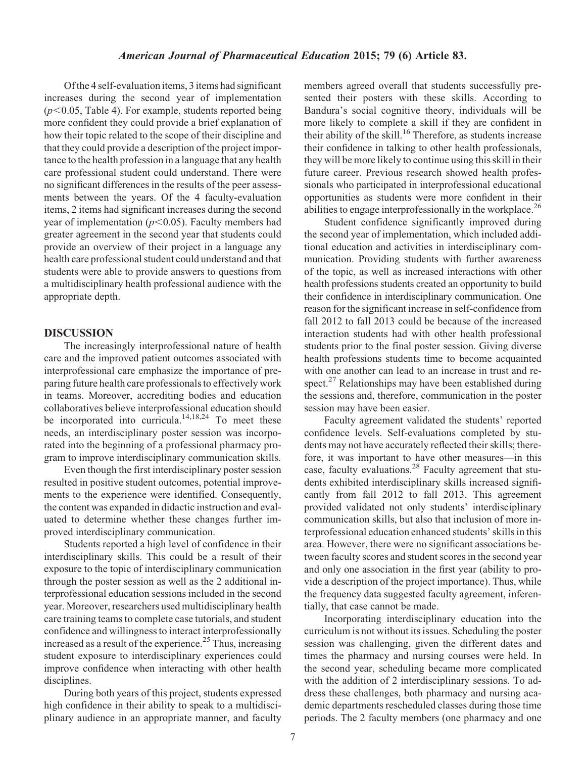Of the 4 self-evaluation items, 3 items had significant increases during the second year of implementation  $(p<0.05$ , Table 4). For example, students reported being more confident they could provide a brief explanation of how their topic related to the scope of their discipline and that they could provide a description of the project importance to the health profession in a language that any health care professional student could understand. There were no significant differences in the results of the peer assessments between the years. Of the 4 faculty-evaluation items, 2 items had significant increases during the second year of implementation ( $p<0.05$ ). Faculty members had greater agreement in the second year that students could provide an overview of their project in a language any health care professional student could understand and that students were able to provide answers to questions from a multidisciplinary health professional audience with the appropriate depth.

## DISCUSSION

The increasingly interprofessional nature of health care and the improved patient outcomes associated with interprofessional care emphasize the importance of preparing future health care professionals to effectively work in teams. Moreover, accrediting bodies and education collaboratives believe interprofessional education should be incorporated into curricula. $14,18,24$  To meet these needs, an interdisciplinary poster session was incorporated into the beginning of a professional pharmacy program to improve interdisciplinary communication skills.

Even though the first interdisciplinary poster session resulted in positive student outcomes, potential improvements to the experience were identified. Consequently, the content was expanded in didactic instruction and evaluated to determine whether these changes further improved interdisciplinary communication.

Students reported a high level of confidence in their interdisciplinary skills. This could be a result of their exposure to the topic of interdisciplinary communication through the poster session as well as the 2 additional interprofessional education sessions included in the second year. Moreover, researchers used multidisciplinary health care training teams to complete case tutorials, and student confidence and willingness to interact interprofessionally increased as a result of the experience.<sup>25</sup> Thus, increasing student exposure to interdisciplinary experiences could improve confidence when interacting with other health disciplines.

During both years of this project, students expressed high confidence in their ability to speak to a multidisciplinary audience in an appropriate manner, and faculty

members agreed overall that students successfully presented their posters with these skills. According to Bandura's social cognitive theory, individuals will be more likely to complete a skill if they are confident in their ability of the skill.<sup>16</sup> Therefore, as students increase their confidence in talking to other health professionals, they will be more likely to continue using this skill in their future career. Previous research showed health professionals who participated in interprofessional educational opportunities as students were more confident in their abilities to engage interprofessionally in the workplace.<sup>26</sup>

Student confidence significantly improved during the second year of implementation, which included additional education and activities in interdisciplinary communication. Providing students with further awareness of the topic, as well as increased interactions with other health professions students created an opportunity to build their confidence in interdisciplinary communication. One reason for the significant increase in self-confidence from fall 2012 to fall 2013 could be because of the increased interaction students had with other health professional students prior to the final poster session. Giving diverse health professions students time to become acquainted with one another can lead to an increase in trust and respect. $27$  Relationships may have been established during the sessions and, therefore, communication in the poster session may have been easier.

Faculty agreement validated the students' reported confidence levels. Self-evaluations completed by students may not have accurately reflected their skills; therefore, it was important to have other measures—in this case, faculty evaluations.28 Faculty agreement that students exhibited interdisciplinary skills increased significantly from fall 2012 to fall 2013. This agreement provided validated not only students' interdisciplinary communication skills, but also that inclusion of more interprofessional education enhanced students' skills in this area. However, there were no significant associations between faculty scores and student scores in the second year and only one association in the first year (ability to provide a description of the project importance). Thus, while the frequency data suggested faculty agreement, inferentially, that case cannot be made.

Incorporating interdisciplinary education into the curriculum is not without its issues. Scheduling the poster session was challenging, given the different dates and times the pharmacy and nursing courses were held. In the second year, scheduling became more complicated with the addition of 2 interdisciplinary sessions. To address these challenges, both pharmacy and nursing academic departments rescheduled classes during those time periods. The 2 faculty members (one pharmacy and one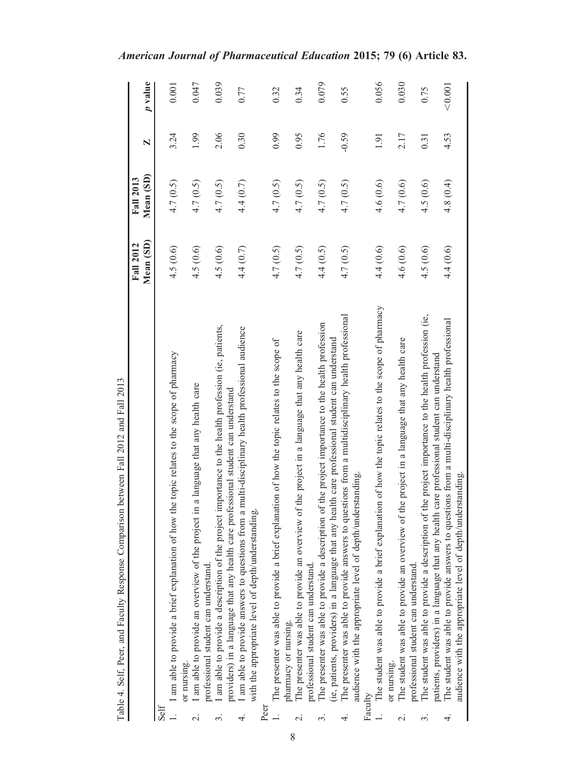|                          | The Figure Transportation of the complete of the control of the control of the control of the control of the control of the control of the control of the control of the control of the control of the control of the control |                        |                        |         |         |
|--------------------------|-------------------------------------------------------------------------------------------------------------------------------------------------------------------------------------------------------------------------------|------------------------|------------------------|---------|---------|
|                          |                                                                                                                                                                                                                               | Mean (SD)<br>Fall 2012 | Mean (SD)<br>Fall 2013 | N       | p value |
| Self                     |                                                                                                                                                                                                                               |                        |                        |         |         |
|                          | am able to provide a brief explanation of how the topic relates to the scope of pharmacy                                                                                                                                      | 4.5(0.6)               | 4.7 (0.5)              | 3.24    | 0.001   |
|                          | or nursing.                                                                                                                                                                                                                   |                        |                        |         |         |
| $\overline{\mathcal{C}}$ | a language that any health care<br>I am able to provide an overview of the project in                                                                                                                                         | 4.5 (0.6)              | 4.7(0.5)               | 1.99    | 0.047   |
|                          | professional student can understand.                                                                                                                                                                                          |                        |                        |         |         |
| 3.                       | I am able to provide a description of the project importance to the health profession (ie, patients,                                                                                                                          | 4.5 (0.6)              | 4.7(0.5)               | 2.06    | 0.039   |
|                          | providers) in a language that any health care professional student can understand                                                                                                                                             |                        |                        |         |         |
| 4.                       | I am able to provide answers to questions from a multi-disciplinary health professional audience                                                                                                                              | 4.4(0.7)               | 4.4(0.7)               | 0.30    | 0.77    |
|                          | with the appropriate level of depth/understanding                                                                                                                                                                             |                        |                        |         |         |
| Peer                     |                                                                                                                                                                                                                               |                        |                        |         |         |
|                          | The presenter was able to provide a brief explanation of how the topic relates to the scope of                                                                                                                                | 4.7(0.5)               | 4.7(0.5)               | 0.99    | 0.32    |
|                          | pharmacy or nursing.                                                                                                                                                                                                          |                        |                        |         |         |
| $\sim$                   | The presenter was able to provide an overview of the project in a language that any health care                                                                                                                               | 4.7 (0.5)              | 4.7(0.5)               | 0.95    | 0.34    |
|                          | professional student can understand.                                                                                                                                                                                          |                        |                        |         |         |
| $\dot{\varsigma}$        | The presenter was able to provide a description of the project importance to the health profession                                                                                                                            | 4.4(0.5)               | 4.7(0.5)               | 1.76    | 0.079   |
|                          | (ie, patients, providers) in a language that any health care professional student can understand                                                                                                                              |                        |                        |         |         |
| 4.                       | The presenter was able to provide answers to questions from a multidisciplinary health professional                                                                                                                           | 4.7(0.5)               | 4.7 (0.5)              | $-0.59$ | 0.55    |
|                          | audience with the appropriate level of depth/understanding.                                                                                                                                                                   |                        |                        |         |         |
|                          | Faculty                                                                                                                                                                                                                       |                        |                        |         |         |
|                          | The student was able to provide a brief explanation of how the topic relates to the scope of pharmacy                                                                                                                         | 4.4(0.6)               | 4.6(0.6)               | 1.91    | 0.056   |
|                          | or nursing.                                                                                                                                                                                                                   |                        |                        |         |         |
| $\sim$                   | The student was able to provide an overview of the project in a language that any health care                                                                                                                                 | 4.6 (0.6)              | 4.7 (0.6)              | 2.17    | 0.030   |
|                          | professional student can understand.                                                                                                                                                                                          |                        |                        |         |         |
| 3.                       | the project importance to the health profession (ie,<br>The student was able to provide a description of                                                                                                                      | 4.5 (0.6)              | 4.5(0.6)               | 0.31    | 0.75    |
|                          | care professional student can understand<br>patients, providers) in a language that any health                                                                                                                                |                        |                        |         |         |
| 4.                       | The student was able to provide answers to questions from a multi-disciplinary health professional                                                                                                                            | 4.4 (0.6)              | 4.8(0.4)               | 4.53    | < 0.001 |

Table 4. Self. Peer, and Faculty Response Comparison between Fall 2012 and Fall 2013 Table 4. Self, Peer, and Faculty Response Comparison between Fall 2012 and Fall 2013

## American Journal of Pharmaceutical Education 2015; 79 (6) Article 83.

audience with the appropriate level of depth/understanding.

audience with the appropriate level of depth/understanding.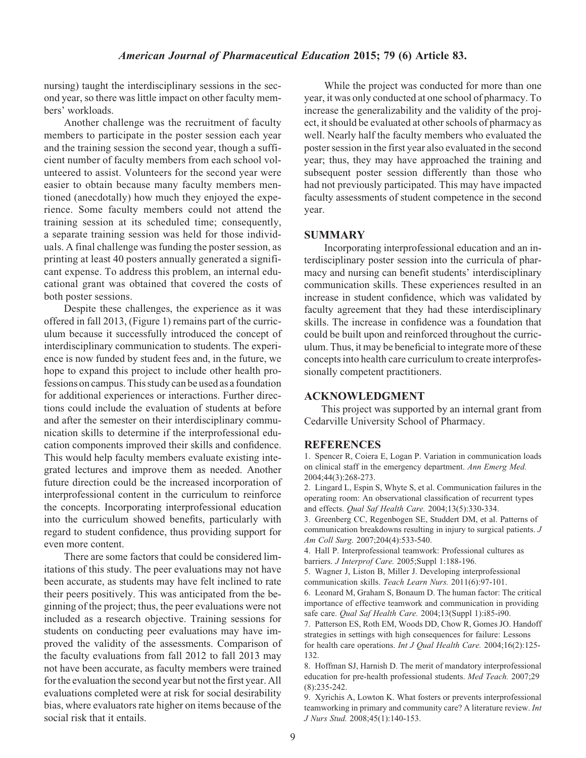#### American Journal of Pharmaceutical Education 2015; 79 (6) Article 83.

nursing) taught the interdisciplinary sessions in the second year, so there was little impact on other faculty members' workloads.

Another challenge was the recruitment of faculty members to participate in the poster session each year and the training session the second year, though a sufficient number of faculty members from each school volunteered to assist. Volunteers for the second year were easier to obtain because many faculty members mentioned (anecdotally) how much they enjoyed the experience. Some faculty members could not attend the training session at its scheduled time; consequently, a separate training session was held for those individuals. A final challenge was funding the poster session, as printing at least 40 posters annually generated a significant expense. To address this problem, an internal educational grant was obtained that covered the costs of both poster sessions.

Despite these challenges, the experience as it was offered in fall 2013, (Figure 1) remains part of the curriculum because it successfully introduced the concept of interdisciplinary communication to students. The experience is now funded by student fees and, in the future, we hope to expand this project to include other health professions on campus. This study can be used as a foundation for additional experiences or interactions. Further directions could include the evaluation of students at before and after the semester on their interdisciplinary communication skills to determine if the interprofessional education components improved their skills and confidence. This would help faculty members evaluate existing integrated lectures and improve them as needed. Another future direction could be the increased incorporation of interprofessional content in the curriculum to reinforce the concepts. Incorporating interprofessional education into the curriculum showed benefits, particularly with regard to student confidence, thus providing support for even more content.

There are some factors that could be considered limitations of this study. The peer evaluations may not have been accurate, as students may have felt inclined to rate their peers positively. This was anticipated from the beginning of the project; thus, the peer evaluations were not included as a research objective. Training sessions for students on conducting peer evaluations may have improved the validity of the assessments. Comparison of the faculty evaluations from fall 2012 to fall 2013 may not have been accurate, as faculty members were trained for the evaluation the second year but not the first year. All evaluations completed were at risk for social desirability bias, where evaluators rate higher on items because of the social risk that it entails.

While the project was conducted for more than one year, it was only conducted at one school of pharmacy. To increase the generalizability and the validity of the project, it should be evaluated at other schools of pharmacy as well. Nearly half the faculty members who evaluated the poster session in the first year also evaluated in the second year; thus, they may have approached the training and subsequent poster session differently than those who had not previously participated. This may have impacted faculty assessments of student competence in the second year.

#### SUMMARY

Incorporating interprofessional education and an interdisciplinary poster session into the curricula of pharmacy and nursing can benefit students' interdisciplinary communication skills. These experiences resulted in an increase in student confidence, which was validated by faculty agreement that they had these interdisciplinary skills. The increase in confidence was a foundation that could be built upon and reinforced throughout the curriculum. Thus, it may be beneficial to integrate more of these concepts into health care curriculum to create interprofessionally competent practitioners.

## ACKNOWLEDGMENT

This project was supported by an internal grant from Cedarville University School of Pharmacy.

#### **REFERENCES**

1. Spencer R, Coiera E, Logan P. Variation in communication loads on clinical staff in the emergency department. Ann Emerg Med. 2004;44(3):268-273.

2. Lingard L, Espin S, Whyte S, et al. Communication failures in the operating room: An observational classification of recurrent types and effects. Qual Saf Health Care. 2004;13(5):330-334.

3. Greenberg CC, Regenbogen SE, Studdert DM, et al. Patterns of communication breakdowns resulting in injury to surgical patients. J Am Coll Surg. 2007;204(4):533-540.

4. Hall P. Interprofessional teamwork: Professional cultures as barriers. J Interprof Care. 2005; Suppl 1:188-196.

5. Wagner J, Liston B, Miller J. Developing interprofessional communication skills. Teach Learn Nurs. 2011(6):97-101.

6. Leonard M, Graham S, Bonaum D. The human factor: The critical importance of effective teamwork and communication in providing safe care. *Qual Saf Health Care*. 2004;13(Suppl 1):i85-i90.

7. Patterson ES, Roth EM, Woods DD, Chow R, Gomes JO. Handoff strategies in settings with high consequences for failure: Lessons for health care operations. Int J Qual Health Care. 2004;16(2):125-132.

8. Hoffman SJ, Harnish D. The merit of mandatory interprofessional education for pre-health professional students. Med Teach. 2007;29 (8):235-242.

9. Xyrichis A, Lowton K. What fosters or prevents interprofessional teamworking in primary and community care? A literature review. Int J Nurs Stud. 2008;45(1):140-153.